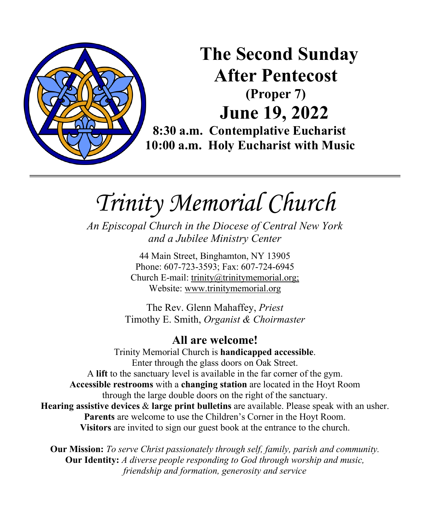

# **The Second Sunday After Pentecost (Proper 7) June 19, 2022**

**8:30 a.m. Contemplative Eucharist 10:00 a.m. Holy Eucharist with Music**

*Trinity Memorial Church*

*An Episcopal Church in the Diocese of Central New York and a Jubilee Ministry Center* 

> 44 Main Street, Binghamton, NY 13905 Phone: 607-723-3593; Fax: 607-724-6945 Church E-mail: trinity@trinitymemorial.org; Website: www.trinitymemorial.org

The Rev. Glenn Mahaffey, *Priest* Timothy E. Smith, *Organist & Choirmaster* 

**All are welcome!** Trinity Memorial Church is **handicapped accessible**. Enter through the glass doors on Oak Street. A **lift** to the sanctuary level is available in the far corner of the gym. **Accessible restrooms** with a **changing station** are located in the Hoyt Room through the large double doors on the right of the sanctuary. **Hearing assistive devices** & **large print bulletins** are available. Please speak with an usher. **Parents** are welcome to use the Children's Corner in the Hoyt Room. **Visitors** are invited to sign our guest book at the entrance to the church.

**Our Mission:** *To serve Christ passionately through self, family, parish and community.*  **Our Identity:** *A diverse people responding to God through worship and music, friendship and formation, generosity and service*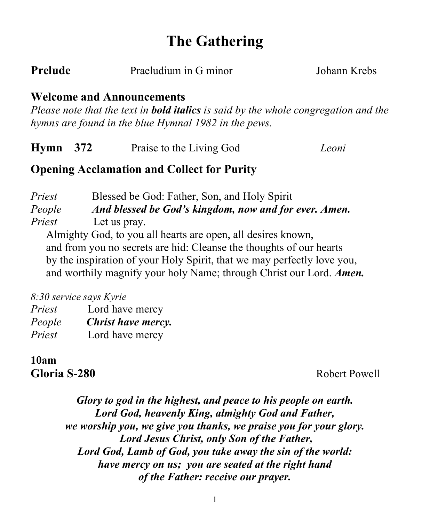# **The Gathering**

**Johann Krebs** 

#### **Welcome and Announcements**

*Please note that the text in bold italics is said by the whole congregation and the hymns are found in the blue Hymnal 1982 in the pews.* 

| $Hymn$ 372 |  | Praise to the Living God | Leoni |
|------------|--|--------------------------|-------|
|------------|--|--------------------------|-------|

# **Opening Acclamation and Collect for Purity**

*Priest* Blessed be God: Father, Son, and Holy Spirit *People And blessed be God's kingdom, now and for ever. Amen. Priest* Let us pray.

Almighty God, to you all hearts are open, all desires known, and from you no secrets are hid: Cleanse the thoughts of our hearts by the inspiration of your Holy Spirit, that we may perfectly love you, and worthily magnify your holy Name; through Christ our Lord. *Amen.*

*8:30 service says Kyrie*

| Priest | Lord have mercy    |
|--------|--------------------|
| People | Christ have mercy. |
| Priest | Lord have mercy    |

**10am**

**Gloria S-280** Robert Powell

*Glory to god in the highest, and peace to his people on earth. Lord God, heavenly King, almighty God and Father, we worship you, we give you thanks, we praise you for your glory. Lord Jesus Christ, only Son of the Father, Lord God, Lamb of God, you take away the sin of the world: have mercy on us; you are seated at the right hand of the Father: receive our prayer.*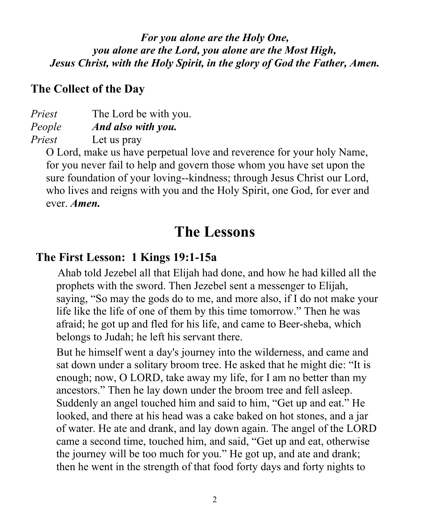*For you alone are the Holy One, you alone are the Lord, you alone are the Most High, Jesus Christ, with the Holy Spirit, in the glory of God the Father, Amen.*

#### **The Collect of the Day**

*Priest* The Lord be with you. *People And also with you. Priest* Let us pray

O Lord, make us have perpetual love and reverence for your holy Name, for you never fail to help and govern those whom you have set upon the sure foundation of your loving--kindness; through Jesus Christ our Lord, who lives and reigns with you and the Holy Spirit, one God, for ever and ever. *Amen.*

# **The Lessons**

# **The First Lesson: 1 Kings 19:1-15a**

Ahab told Jezebel all that Elijah had done, and how he had killed all the prophets with the sword. Then Jezebel sent a messenger to Elijah, saying, "So may the gods do to me, and more also, if I do not make your life like the life of one of them by this time tomorrow." Then he was afraid; he got up and fled for his life, and came to Beer-sheba, which belongs to Judah; he left his servant there.

But he himself went a day's journey into the wilderness, and came and sat down under a solitary broom tree. He asked that he might die: "It is enough; now, O LORD, take away my life, for I am no better than my ancestors." Then he lay down under the broom tree and fell asleep. Suddenly an angel touched him and said to him, "Get up and eat." He looked, and there at his head was a cake baked on hot stones, and a jar of water. He ate and drank, and lay down again. The angel of the LORD came a second time, touched him, and said, "Get up and eat, otherwise the journey will be too much for you." He got up, and ate and drank; then he went in the strength of that food forty days and forty nights to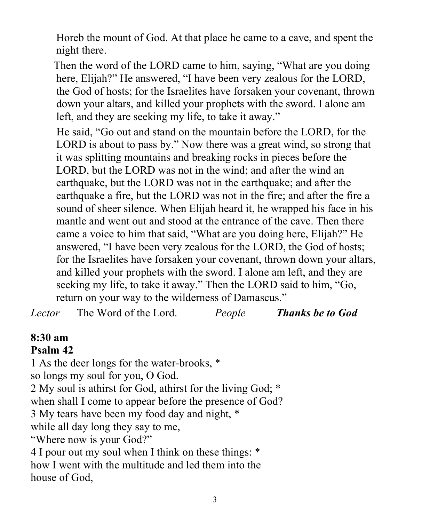Horeb the mount of God. At that place he came to a cave, and spent the night there.

Then the word of the LORD came to him, saying, "What are you doing here, Elijah?" He answered, "I have been very zealous for the LORD, the God of hosts; for the Israelites have forsaken your covenant, thrown down your altars, and killed your prophets with the sword. I alone am left, and they are seeking my life, to take it away."

He said, "Go out and stand on the mountain before the LORD, for the LORD is about to pass by." Now there was a great wind, so strong that it was splitting mountains and breaking rocks in pieces before the LORD, but the LORD was not in the wind; and after the wind an earthquake, but the LORD was not in the earthquake; and after the earthquake a fire, but the LORD was not in the fire; and after the fire a sound of sheer silence. When Elijah heard it, he wrapped his face in his mantle and went out and stood at the entrance of the cave. Then there came a voice to him that said, "What are you doing here, Elijah?" He answered, "I have been very zealous for the LORD, the God of hosts; for the Israelites have forsaken your covenant, thrown down your altars, and killed your prophets with the sword. I alone am left, and they are seeking my life, to take it away." Then the LORD said to him, "Go, return on your way to the wilderness of Damascus."

*Lector* The Word of the Lord. *People Thanks be to God*

# **8:30 am**

#### **Psalm 42**

1 As the deer longs for the water-brooks, \* so longs my soul for you, O God. 2 My soul is athirst for God, athirst for the living God; \* when shall I come to appear before the presence of God? 3 My tears have been my food day and night, \* while all day long they say to me, "Where now is your God?" 4 I pour out my soul when I think on these things: \* how I went with the multitude and led them into the house of God,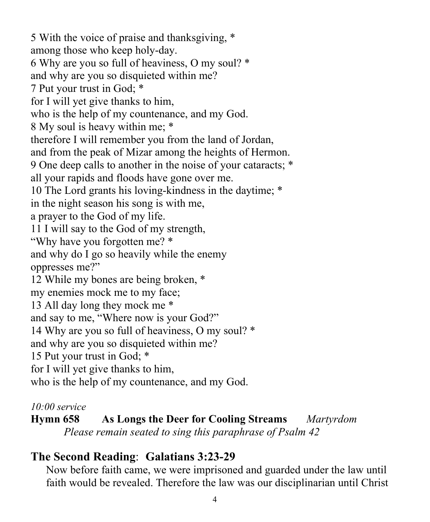5 With the voice of praise and thanksgiving, \* among those who keep holy-day. 6 Why are you so full of heaviness, O my soul? \* and why are you so disquieted within me? 7 Put your trust in God; \* for I will yet give thanks to him, who is the help of my countenance, and my God. 8 My soul is heavy within me; \* therefore I will remember you from the land of Jordan, and from the peak of Mizar among the heights of Hermon. 9 One deep calls to another in the noise of your cataracts; \* all your rapids and floods have gone over me. 10 The Lord grants his loving-kindness in the daytime; \* in the night season his song is with me, a prayer to the God of my life. 11 I will say to the God of my strength, "Why have you forgotten me? \* and why do I go so heavily while the enemy oppresses me?" 12 While my bones are being broken, \* my enemies mock me to my face; 13 All day long they mock me \* and say to me, "Where now is your God?" 14 Why are you so full of heaviness, O my soul? \* and why are you so disquieted within me? 15 Put your trust in God; \* for I will yet give thanks to him, who is the help of my countenance, and my God.

#### *10:00 service*

**Hymn 658 As Longs the Deer for Cooling Streams** *Martyrdom Please remain seated to sing this paraphrase of Psalm 42*

# **The Second Reading**: **Galatians 3:23-29**

Now before faith came, we were imprisoned and guarded under the law until faith would be revealed. Therefore the law was our disciplinarian until Christ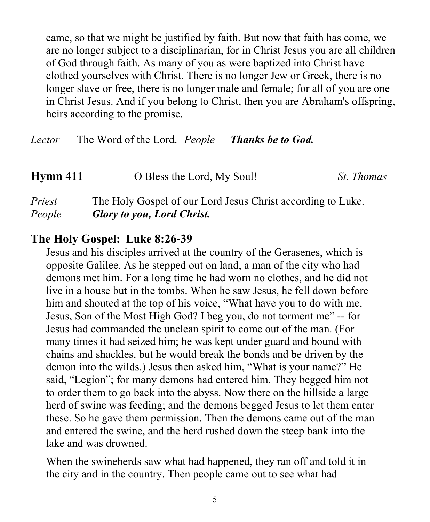came, so that we might be justified by faith. But now that faith has come, we are no longer subject to a disciplinarian, for in Christ Jesus you are all children of God through faith. As many of you as were baptized into Christ have clothed yourselves with Christ. There is no longer Jew or Greek, there is no longer slave or free, there is no longer male and female; for all of you are one in Christ Jesus. And if you belong to Christ, then you are Abraham's offspring, heirs according to the promise.

*Lector* The Word of the Lord. *People Thanks be to God.*

| Hymn 411 | O Bless the Lord, My Soul!                                  | <i>St. Thomas</i> |
|----------|-------------------------------------------------------------|-------------------|
| Priest   | The Holy Gospel of our Lord Jesus Christ according to Luke. |                   |
| People   | <b>Glory to you, Lord Christ.</b>                           |                   |

#### **The Holy Gospel: Luke 8:26-39**

Jesus and his disciples arrived at the country of the Gerasenes, which is opposite Galilee. As he stepped out on land, a man of the city who had demons met him. For a long time he had worn no clothes, and he did not live in a house but in the tombs. When he saw Jesus, he fell down before him and shouted at the top of his voice, "What have you to do with me, Jesus, Son of the Most High God? I beg you, do not torment me" -- for Jesus had commanded the unclean spirit to come out of the man. (For many times it had seized him; he was kept under guard and bound with chains and shackles, but he would break the bonds and be driven by the demon into the wilds.) Jesus then asked him, "What is your name?" He said, "Legion"; for many demons had entered him. They begged him not to order them to go back into the abyss. Now there on the hillside a large herd of swine was feeding; and the demons begged Jesus to let them enter these. So he gave them permission. Then the demons came out of the man and entered the swine, and the herd rushed down the steep bank into the lake and was drowned.

When the swineherds saw what had happened, they ran off and told it in the city and in the country. Then people came out to see what had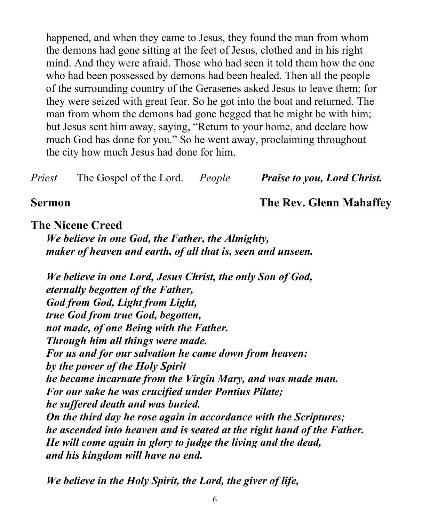happened, and when they came to Jesus, they found the man from whom the demons had gone sitting at the feet of Jesus, clothed and in his right mind. And they were afraid. Those who had seen it told them how the one who had been possessed by demons had been healed. Then all the people of the surrounding country of the Gerasenes asked Jesus to leave them; for they were seized with great fear. So he got into the boat and returned. The man from whom the demons had gone begged that he might be with him; but Jesus sent him away, saying, "Return to your home, and declare how much God has done for you." So he went away, proclaiming throughout the city how much Jesus had done for him.

*Priest* The Gospel of the Lord. *People Praise to you, Lord Christ.*

#### **Sermon The Rev. Glenn Mahaffey**

#### **The Nicene Creed**

*We believe in one God, the Father, the Almighty, maker of heaven and earth, of all that is, seen and unseen.*

*We believe in one Lord, Jesus Christ, the only Son of God, eternally begotten of the Father, God from God, Light from Light, true God from true God, begotten, not made, of one Being with the Father. Through him all things were made. For us and for our salvation he came down from heaven: by the power of the Holy Spirit he became incarnate from the Virgin Mary, and was made man. For our sake he was crucified under Pontius Pilate; he suffered death and was buried. On the third day he rose again in accordance with the Scriptures; he ascended into heaven and is seated at the right hand of the Father. He will come again in glory to judge the living and the dead, and his kingdom will have no end.*

*We believe in the Holy Spirit, the Lord, the giver of life,*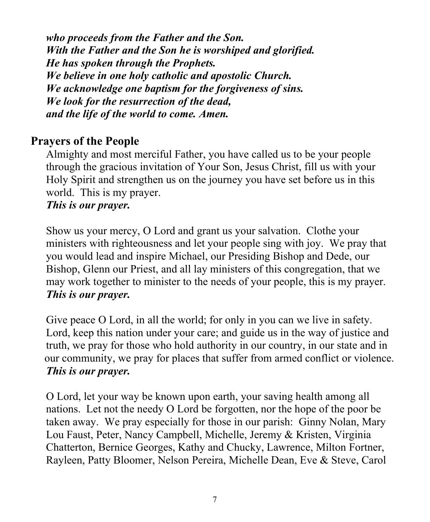*who proceeds from the Father and the Son. With the Father and the Son he is worshiped and glorified. He has spoken through the Prophets. We believe in one holy catholic and apostolic Church. We acknowledge one baptism for the forgiveness of sins. We look for the resurrection of the dead, and the life of the world to come. Amen.*

### **Prayers of the People**

Almighty and most merciful Father, you have called us to be your people through the gracious invitation of Your Son, Jesus Christ, fill us with your Holy Spirit and strengthen us on the journey you have set before us in this world. This is my prayer. *This is our prayer.* 

Show us your mercy, O Lord and grant us your salvation. Clothe your ministers with righteousness and let your people sing with joy. We pray that you would lead and inspire Michael, our Presiding Bishop and Dede, our Bishop, Glenn our Priest, and all lay ministers of this congregation, that we may work together to minister to the needs of your people, this is my prayer. *This is our prayer.* 

Give peace O Lord, in all the world; for only in you can we live in safety. Lord, keep this nation under your care; and guide us in the way of justice and truth, we pray for those who hold authority in our country, in our state and in our community, we pray for places that suffer from armed conflict or violence. *This is our prayer.* 

O Lord, let your way be known upon earth, your saving health among all nations. Let not the needy O Lord be forgotten, nor the hope of the poor be taken away. We pray especially for those in our parish: Ginny Nolan, Mary Lou Faust, Peter, Nancy Campbell, Michelle, Jeremy & Kristen, Virginia Chatterton, Bernice Georges, Kathy and Chucky, Lawrence, Milton Fortner, Rayleen, Patty Bloomer, Nelson Pereira, Michelle Dean, Eve & Steve, Carol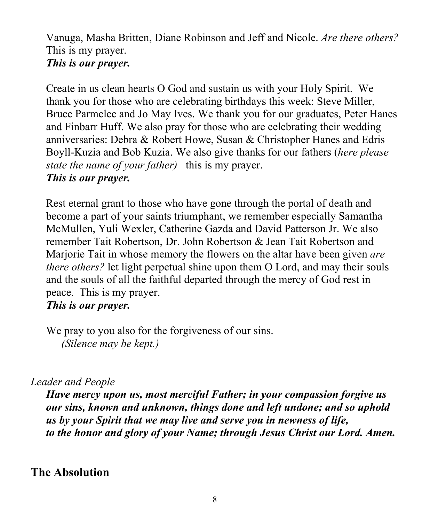Vanuga, Masha Britten, Diane Robinson and Jeff and Nicole. *Are there others?* This is my prayer. *This is our prayer.* 

Create in us clean hearts O God and sustain us with your Holy Spirit. We thank you for those who are celebrating birthdays this week: Steve Miller, Bruce Parmelee and Jo May Ives. We thank you for our graduates, Peter Hanes and Finbarr Huff. We also pray for those who are celebrating their wedding anniversaries: Debra & Robert Howe, Susan & Christopher Hanes and Edris Boyll-Kuzia and Bob Kuzia. We also give thanks for our fathers (*here please state the name of your father)* this is my prayer. *This is our prayer.* 

Rest eternal grant to those who have gone through the portal of death and become a part of your saints triumphant, we remember especially Samantha McMullen, Yuli Wexler, Catherine Gazda and David Patterson Jr. We also remember Tait Robertson, Dr. John Robertson & Jean Tait Robertson and Marjorie Tait in whose memory the flowers on the altar have been given *are there others?* let light perpetual shine upon them O Lord, and may their souls and the souls of all the faithful departed through the mercy of God rest in peace. This is my prayer. *This is our prayer.* 

We pray to you also for the forgiveness of our sins. *(Silence may be kept.)*

#### *Leader and People*

*Have mercy upon us, most merciful Father; in your compassion forgive us our sins, known and unknown, things done and left undone; and so uphold us by your Spirit that we may live and serve you in newness of life, to the honor and glory of your Name; through Jesus Christ our Lord. Amen.*

## **The Absolution**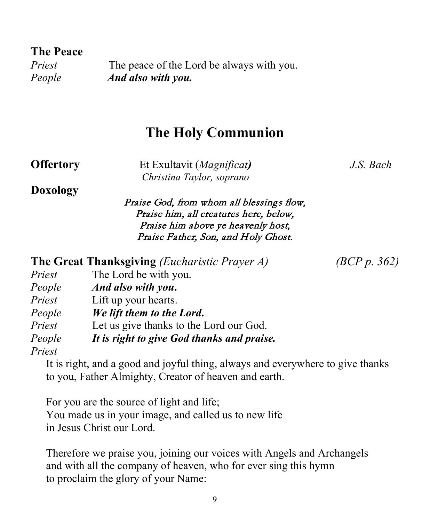**The Peace**

*Priest* The peace of the Lord be always with you. *People And also with you.*

# **The Holy Communion**

**Offertory** Et Exultavit (*Magnificat)**J.S. Bach Christina Taylor, soprano*

**The Great Thanksgiving** *(Eucharistic Prayer A) (BCP p. 362)*

**Doxology**

Praise God, from whom all blessings flow, Praise him, all creatures here, below, Praise him above ye heavenly host, Praise Father, Son, and Holy Ghost.

|        | <b>The Great Thanksgiving</b> ( <i>Eucharistic Prayer A</i> ) |
|--------|---------------------------------------------------------------|
| Priest | The Lord be with you.                                         |
| People | And also with you.                                            |
| Priest | Lift up your hearts.                                          |

| People | We lift them to the Lord. |
|--------|---------------------------|
|--------|---------------------------|

*Priest* Let us give thanks to the Lord our God.

*People It is right to give God thanks and praise.*

*Priest*

It is right, and a good and joyful thing, always and everywhere to give thanks to you, Father Almighty, Creator of heaven and earth.

For you are the source of light and life; You made us in your image, and called us to new life in Jesus Christ our Lord.

Therefore we praise you, joining our voices with Angels and Archangels and with all the company of heaven, who for ever sing this hymn to proclaim the glory of your Name: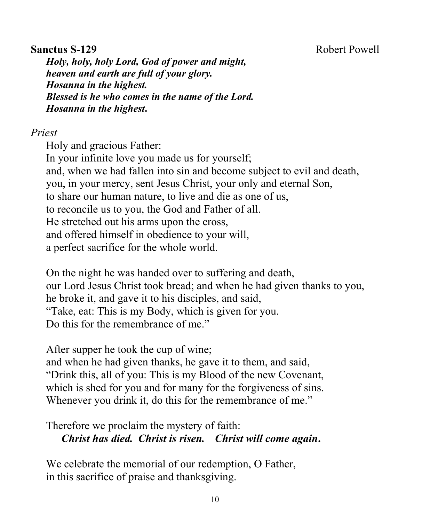#### **Sanctus S-129 Robert Powell**

*Holy, holy, holy Lord, God of power and might, heaven and earth are full of your glory. Hosanna in the highest. Blessed is he who comes in the name of the Lord. Hosanna in the highest***.** 

#### *Priest*

Holy and gracious Father: In your infinite love you made us for yourself; and, when we had fallen into sin and become subject to evil and death, you, in your mercy, sent Jesus Christ, your only and eternal Son, to share our human nature, to live and die as one of us, to reconcile us to you, the God and Father of all. He stretched out his arms upon the cross, and offered himself in obedience to your will, a perfect sacrifice for the whole world.

On the night he was handed over to suffering and death, our Lord Jesus Christ took bread; and when he had given thanks to you, he broke it, and gave it to his disciples, and said, "Take, eat: This is my Body, which is given for you. Do this for the remembrance of me."

After supper he took the cup of wine;

and when he had given thanks, he gave it to them, and said, "Drink this, all of you: This is my Blood of the new Covenant, which is shed for you and for many for the forgiveness of sins. Whenever you drink it, do this for the remembrance of me."

Therefore we proclaim the mystery of faith: *Christ has died. Christ is risen. Christ will come again***.**

We celebrate the memorial of our redemption, O Father, in this sacrifice of praise and thanksgiving.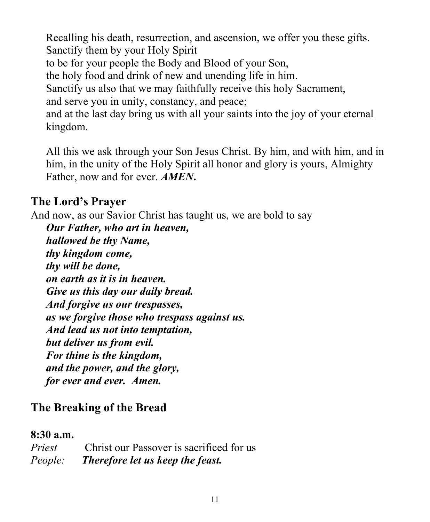Recalling his death, resurrection, and ascension, we offer you these gifts. Sanctify them by your Holy Spirit to be for your people the Body and Blood of your Son, the holy food and drink of new and unending life in him. Sanctify us also that we may faithfully receive this holy Sacrament, and serve you in unity, constancy, and peace; and at the last day bring us with all your saints into the joy of your eternal kingdom.

All this we ask through your Son Jesus Christ. By him, and with him, and in him, in the unity of the Holy Spirit all honor and glory is yours, Almighty Father, now and for ever. *AMEN***.**

### **The Lord's Prayer**

And now, as our Savior Christ has taught us, we are bold to say

*Our Father, who art in heaven, hallowed be thy Name, thy kingdom come, thy will be done, on earth as it is in heaven. Give us this day our daily bread. And forgive us our trespasses, as we forgive those who trespass against us. And lead us not into temptation, but deliver us from evil. For thine is the kingdom, and the power, and the glory, for ever and ever. Amen.*

# **The Breaking of the Bread**

#### **8:30 a.m.**

| Priest  | Christ our Passover is sacrificed for us |
|---------|------------------------------------------|
| People: | Therefore let us keep the feast.         |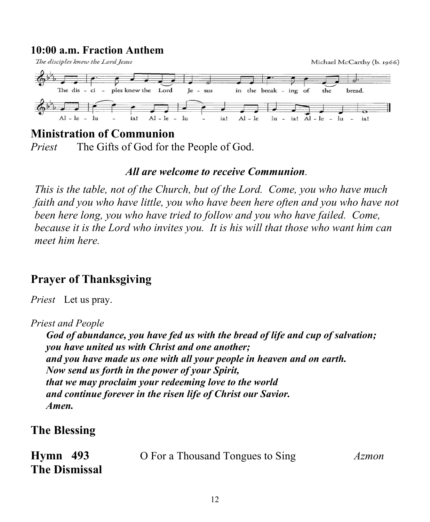# **10:00 a.m. Fraction Anthem**<br>The disciples knew the Lord Jesus



#### **Ministration of Communion**

*Priest* The Gifts of God for the People of God.

#### *All are welcome to receive Communion.*

*This is the table, not of the Church, but of the Lord. Come, you who have much faith and you who have little, you who have been here often and you who have not been here long, you who have tried to follow and you who have failed. Come, because it is the Lord who invites you. It is his will that those who want him can meet him here.*

# **Prayer of Thanksgiving**

*Priest* Let us pray.

*Priest and People*

*God of abundance, you have fed us with the bread of life and cup of salvation; you have united us with Christ and one another; and you have made us one with all your people in heaven and on earth. Now send us forth in the power of your Spirit, that we may proclaim your redeeming love to the world and continue forever in the risen life of Christ our Savior. Amen.*

## **The Blessing**

| $Hymn$ 493           | O For a Thousand Tongues to Sing | Azmon |
|----------------------|----------------------------------|-------|
| <b>The Dismissal</b> |                                  |       |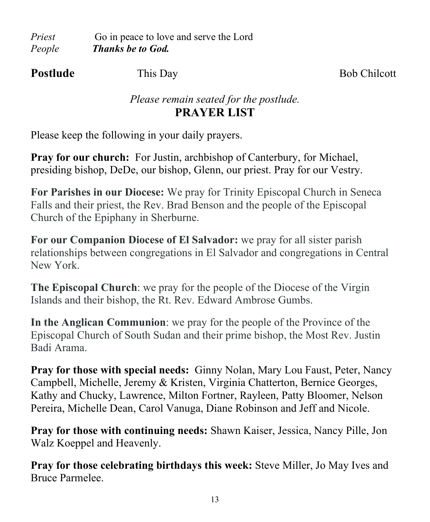*Priest* Go in peace to love and serve the Lord *People Thanks be to God.* 

**Postlude** This Day **Bob Chilcott** 

## *Please remain seated for the postlude.* **PRAYER LIST**

Please keep the following in your daily prayers.

**Pray for our church:** For Justin, archbishop of Canterbury, for Michael, presiding bishop, DeDe, our bishop, Glenn, our priest. Pray for our Vestry.

**For Parishes in our Diocese:** We pray for Trinity Episcopal Church in Seneca Falls and their priest, the Rev. Brad Benson and the people of the Episcopal Church of the Epiphany in Sherburne.

**For our Companion Diocese of El Salvador:** we pray for all sister parish relationships between congregations in El Salvador and congregations in Central New York.

**The Episcopal Church**: we pray for the people of the Diocese of the Virgin Islands and their bishop, the Rt. Rev. Edward Ambrose Gumbs.

**In the Anglican Communion**: we pray for the people of the Province of the Episcopal Church of South Sudan and their prime bishop, the Most Rev. Justin Badi Arama.

**Pray for those with special needs:** Ginny Nolan, Mary Lou Faust, Peter, Nancy Campbell, Michelle, Jeremy & Kristen, Virginia Chatterton, Bernice Georges, Kathy and Chucky, Lawrence, Milton Fortner, Rayleen, Patty Bloomer, Nelson Pereira, Michelle Dean, Carol Vanuga, Diane Robinson and Jeff and Nicole.

**Pray for those with continuing needs:** Shawn Kaiser, Jessica, Nancy Pille, Jon Walz Koeppel and Heavenly.

**Pray for those celebrating birthdays this week:** Steve Miller, Jo May Ives and Bruce Parmelee.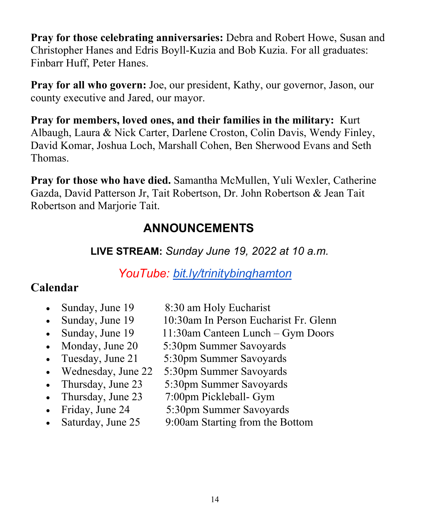**Pray for those celebrating anniversaries:** Debra and Robert Howe, Susan and Christopher Hanes and Edris Boyll-Kuzia and Bob Kuzia. For all graduates: Finbarr Huff, Peter Hanes.

**Pray for all who govern:** Joe, our president, Kathy, our governor, Jason, our county executive and Jared, our mayor.

**Pray for members, loved ones, and their families in the military:** Kurt Albaugh, Laura & Nick Carter, Darlene Croston, Colin Davis, Wendy Finley, David Komar, Joshua Loch, Marshall Cohen, Ben Sherwood Evans and Seth Thomas.

**Pray for those who have died.** Samantha McMullen, Yuli Wexler, Catherine Gazda, David Patterson Jr, Tait Robertson, Dr. John Robertson & Jean Tait Robertson and Marjorie Tait.

# **ANNOUNCEMENTS**

 **LIVE STREAM:** *Sunday June 19, 2022 at 10 a.m.*

# *YouTube: [bit.ly/trinitybinghamton](https://www.youtube.com/c/TrinityMemorialEpiscopalChurch)*

# **Calendar**

- Sunday, June 19 8:30 am Holy Eucharist
- Sunday, June 19 10:30am In Person Eucharist Fr. Glenn
- Sunday, June  $19 \t 11:30$ am Canteen Lunch Gym Doors
- Monday, June 20 5:30pm Summer Savoyards
- Tuesday, June 21 5:30pm Summer Savoyards
- Wednesday, June 22 5:30pm Summer Savoyards
- Thursday, June 23 5:30pm Summer Savoyards
- Thursday, June 23 7:00pm Pickleball- Gym
- Friday, June 24 5:30pm Summer Savoyards
	-
- Saturday, June 25 9:00am Starting from the Bottom